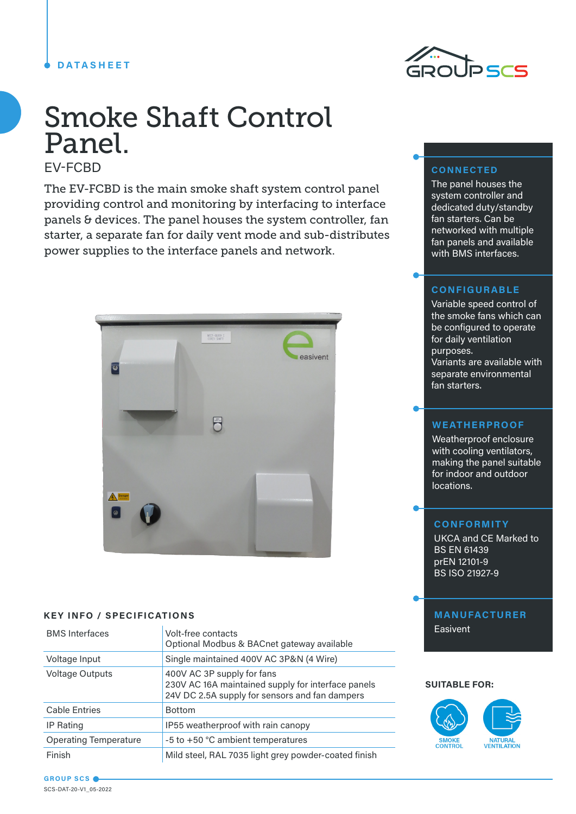### **DATASHEET**



# Smoke Shaft Control Panel.

EV-FCBD

The EV-FCBD is the main smoke shaft system control panel providing control and monitoring by interfacing to interface panels & devices. The panel houses the system controller, fan starter, a separate fan for daily vent mode and sub-distributes power supplies to the interface panels and network.



### **KEY INFO / SPECIFICATIONS**

| <b>BMS</b> Interfaces        | Volt-free contacts<br>Optional Modbus & BACnet gateway available                                                                   |
|------------------------------|------------------------------------------------------------------------------------------------------------------------------------|
| Voltage Input                | Single maintained 400V AC 3P&N (4 Wire)                                                                                            |
| <b>Voltage Outputs</b>       | 400V AC 3P supply for fans<br>230V AC 16A maintained supply for interface panels<br>24V DC 2.5A supply for sensors and fan dampers |
| <b>Cable Entries</b>         | <b>Bottom</b>                                                                                                                      |
| IP Rating                    | IP55 weatherproof with rain canopy                                                                                                 |
| <b>Operating Temperature</b> | -5 to +50 °C ambient temperatures                                                                                                  |
| Finish                       | Mild steel, RAL 7035 light grey powder-coated finish                                                                               |

### **CONNECTED**

The panel houses the system controller and dedicated duty/standby fan starters. Can be networked with multiple fan panels and available with BMS interfaces.

### **CONFIGURABLE**

Variable speed control of the smoke fans which can be configured to operate for daily ventilation purposes. Variants are available with separate environmental fan starters.

### **WEATHERPROOF**

Weatherproof enclosure with cooling ventilators, making the panel suitable for indoor and outdoor locations.

### **CONFORMITY**

UKCA and CE Marked to BS EN 61439 prEN 12101-9 BS ISO 21927-9

## **MANUFACTURER**

**Easivent** 

### **SUITABLE FOR:**



**GROUP SCS** SCS-DAT-20-V1\_05-2022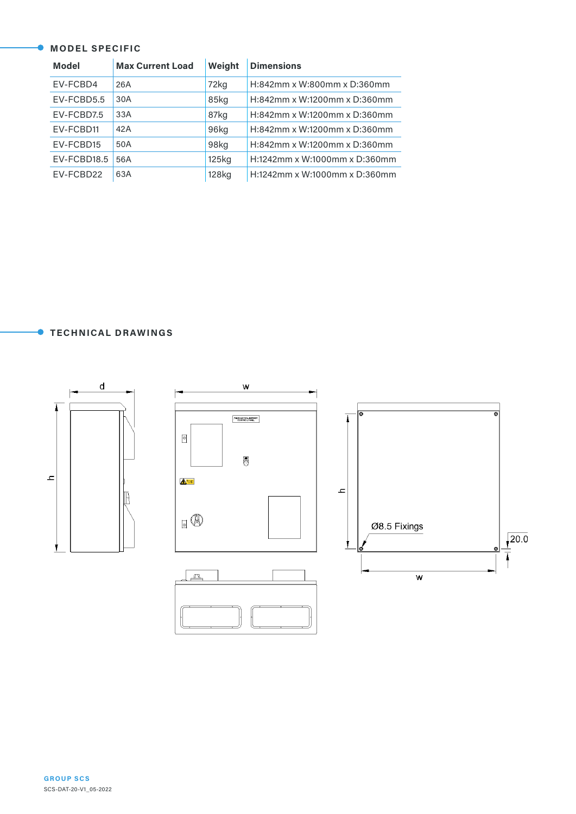### **MODEL SPECIFIC**

| <b>Model</b> | <b>Max Current Load</b> | Weight | <b>Dimensions</b>             |
|--------------|-------------------------|--------|-------------------------------|
| EV-FCBD4     | 26A                     | 72kg   | H:842mm x W:800mm x D:360mm   |
| EV-FCBD5.5   | 30A                     | 85kg   | H:842mm x W:1200mm x D:360mm  |
| EV-FCBD7.5   | 33A                     | 87kg   | H:842mm x W:1200mm x D:360mm  |
| EV-FCBD11    | 42A                     | 96kg   | H:842mm x W:1200mm x D:360mm  |
| EV-FCBD15    | 50A                     | 98kg   | H:842mm x W:1200mm x D:360mm  |
| EV-FCBD18.5  | 56A                     | 125kg  | H:1242mm x W:1000mm x D:360mm |
| EV-FCBD22    | 63A                     | 128kg  | H:1242mm x W:1000mm x D:360mm |

**TECHNICAL DRAWINGS**